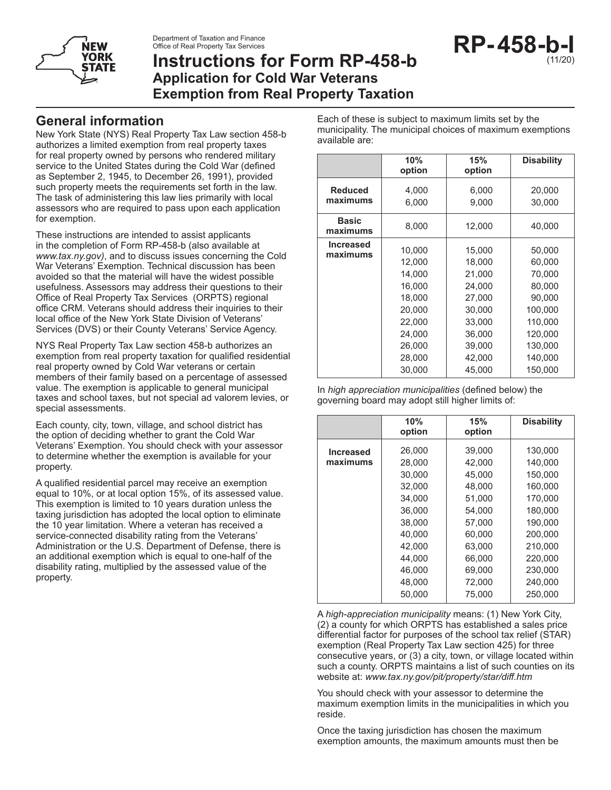Department of Taxation and Finance Office of Real Property Tax Services



# **Instructions for Form RP-458-b Application for Cold War Veterans Exemption from Real Property Taxation**



### **General information**

New York State (NYS) Real Property Tax Law section 458-b authorizes a limited exemption from real property taxes for real property owned by persons who rendered military service to the United States during the Cold War (defined as September 2, 1945, to December 26, 1991), provided such property meets the requirements set forth in the law. The task of administering this law lies primarily with local assessors who are required to pass upon each application for exemption.

These instructions are intended to assist applicants in the completion of Form RP-458-b (also available at *www.tax.ny.gov)*, and to discuss issues concerning the Cold War Veterans' Exemption. Technical discussion has been avoided so that the material will have the widest possible usefulness. Assessors may address their questions to their Office of Real Property Tax Services (ORPTS) regional office CRM. Veterans should address their inquiries to their local office of the New York State Division of Veterans' Services (DVS) or their County Veterans' Service Agency.

NYS Real Property Tax Law section 458-b authorizes an exemption from real property taxation for qualified residential real property owned by Cold War veterans or certain members of their family based on a percentage of assessed value. The exemption is applicable to general municipal taxes and school taxes, but not special ad valorem levies, or special assessments.

Each county, city, town, village, and school district has the option of deciding whether to grant the Cold War Veterans' Exemption. You should check with your assessor to determine whether the exemption is available for your property.

A qualified residential parcel may receive an exemption equal to 10%, or at local option 15%, of its assessed value. This exemption is limited to 10 years duration unless the taxing jurisdiction has adopted the local option to eliminate the 10 year limitation. Where a veteran has received a service-connected disability rating from the Veterans' Administration or the U.S. Department of Defense, there is an additional exemption which is equal to one-half of the disability rating, multiplied by the assessed value of the property.

Each of these is subject to maximum limits set by the municipality. The municipal choices of maximum exemptions available are:

|                              | 10%<br>option                                                                                              | 15%<br>option                                                                                              | <b>Disability</b>                                                                                                |
|------------------------------|------------------------------------------------------------------------------------------------------------|------------------------------------------------------------------------------------------------------------|------------------------------------------------------------------------------------------------------------------|
| <b>Reduced</b><br>maximums   | 4,000<br>6,000                                                                                             | 6,000<br>9,000                                                                                             | 20,000<br>30,000                                                                                                 |
| <b>Basic</b><br>maximums     | 8,000                                                                                                      | 12,000                                                                                                     | 40,000                                                                                                           |
| <b>Increased</b><br>maximums | 10,000<br>12,000<br>14,000<br>16,000<br>18,000<br>20,000<br>22,000<br>24,000<br>26.000<br>28,000<br>30,000 | 15,000<br>18,000<br>21,000<br>24,000<br>27,000<br>30,000<br>33,000<br>36,000<br>39,000<br>42,000<br>45,000 | 50,000<br>60,000<br>70,000<br>80,000<br>90,000<br>100,000<br>110,000<br>120,000<br>130,000<br>140,000<br>150,000 |

In *high appreciation municipalities* (defined below) the governing board may adopt still higher limits of:

|                  | 10%<br>option | 15%<br>option | <b>Disability</b> |
|------------------|---------------|---------------|-------------------|
| <b>Increased</b> | 26,000        | 39,000        | 130,000           |
| maximums         | 28.000        | 42.000        | 140.000           |
|                  | 30.000        | 45.000        | 150.000           |
|                  | 32,000        | 48,000        | 160,000           |
|                  | 34.000        | 51.000        | 170.000           |
|                  | 36.000        | 54.000        | 180,000           |
|                  | 38,000        | 57.000        | 190,000           |
|                  | 40,000        | 60,000        | 200,000           |
|                  | 42.000        | 63.000        | 210,000           |
|                  | 44,000        | 66,000        | 220,000           |
|                  | 46.000        | 69,000        | 230,000           |
|                  | 48.000        | 72,000        | 240.000           |
|                  | 50.000        | 75.000        | 250,000           |

A *high-appreciation municipality* means: (1) New York City, (2) a county for which ORPTS has established a sales price differential factor for purposes of the school tax relief (STAR) exemption (Real Property Tax Law section 425) for three consecutive years, or (3) a city, town, or village located within such a county. ORPTS maintains a list of such counties on its website at: *www.tax.ny.gov/pit/property/star/diff.htm* 

You should check with your assessor to determine the maximum exemption limits in the municipalities in which you reside.

Once the taxing jurisdiction has chosen the maximum exemption amounts, the maximum amounts must then be